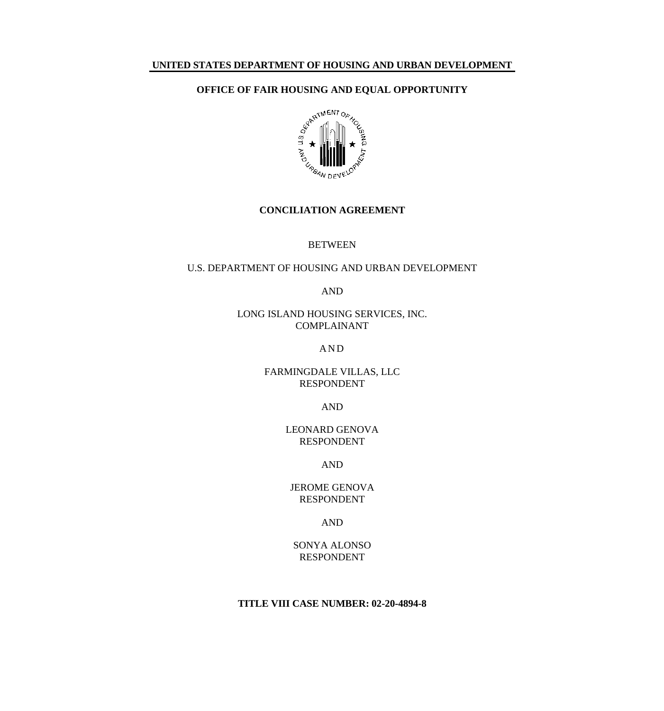## **UNITED STATES DEPARTMENT OF HOUSING AND URBAN DEVELOPMENT**



#### **CONCILIATION AGREEMENT**

#### BETWEEN

# U.S. DEPARTMENT OF HOUSING AND URBAN DEVELOPMENT

AND

## LONG ISLAND HOUSING SERVICES, INC. COMPLAINANT

### A N D

## FARMINGDALE VILLAS, LLC RESPONDENT

### AND

## LEONARD GENOVA RESPONDENT

AND

## JEROME GENOVA RESPONDENT

## AND

## SONYA ALONSO RESPONDENT

## **TITLE VIII CASE NUMBER: 02-20-4894-8**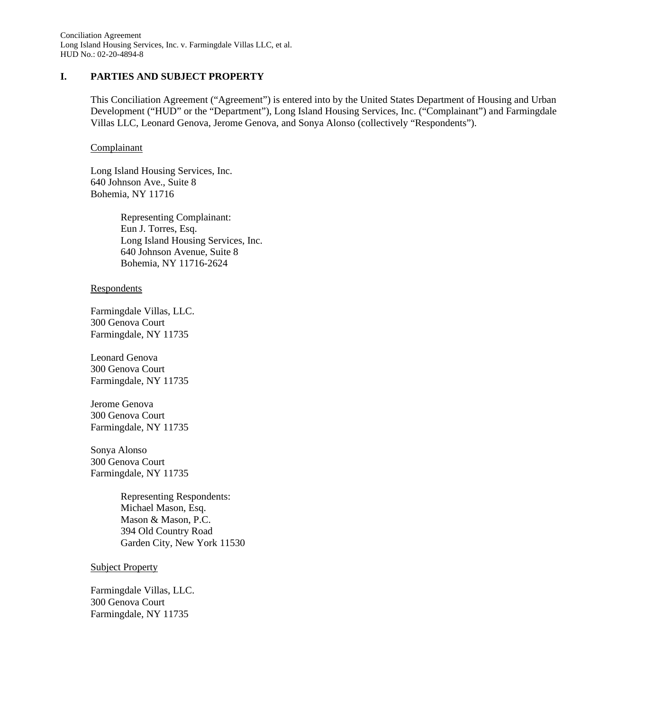Conciliation Agreement Long Island Housing Services, Inc. v. Farmingdale Villas LLC, et al. HUD No.: 02-20-4894-8

### **I. PARTIES AND SUBJECT PROPERTY**

This Conciliation Agreement ("Agreement") is entered into by the United States Department of Housing and Urban Development ("HUD" or the "Department"), Long Island Housing Services, Inc. ("Complainant") and Farmingdale Villas LLC, Leonard Genova, Jerome Genova, and Sonya Alonso (collectively "Respondents").

#### Complainant

Long Island Housing Services, Inc. 640 Johnson Ave., Suite 8 Bohemia, NY 11716

> Representing Complainant: Eun J. Torres, Esq. Long Island Housing Services, Inc. 640 Johnson Avenue, Suite 8 Bohemia, NY 11716-2624

#### Respondents

Farmingdale Villas, LLC. 300 Genova Court Farmingdale, NY 11735

Leonard Genova 300 Genova Court Farmingdale, NY 11735

Jerome Genova 300 Genova Court Farmingdale, NY 11735

Sonya Alonso 300 Genova Court Farmingdale, NY 11735

> Representing Respondents: Michael Mason, Esq. Mason & Mason, P.C. 394 Old Country Road Garden City, New York 11530

#### Subject Property

Farmingdale Villas, LLC. 300 Genova Court Farmingdale, NY 11735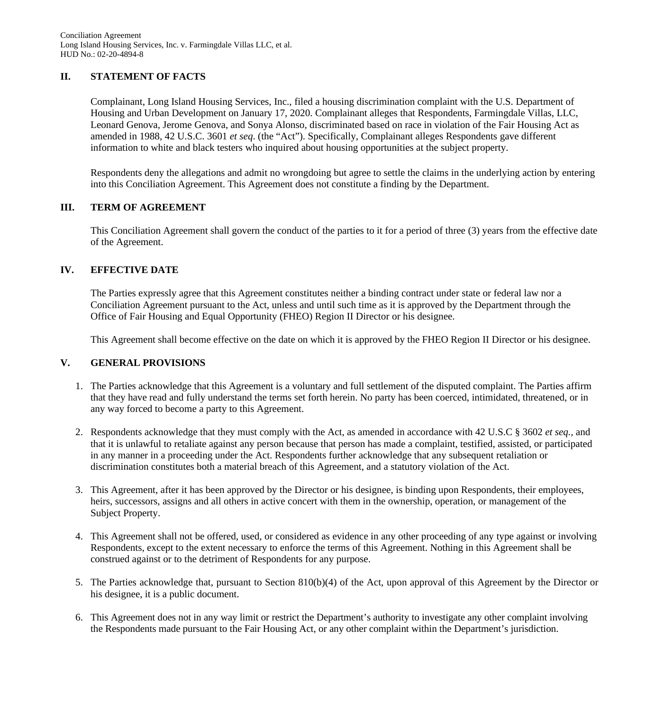## **II. STATEMENT OF FACTS**

Complainant, Long Island Housing Services, Inc., filed a housing discrimination complaint with the U.S. Department of Housing and Urban Development on January 17, 2020. Complainant alleges that Respondents, Farmingdale Villas, LLC, Leonard Genova, Jerome Genova, and Sonya Alonso, discriminated based on race in violation of the Fair Housing Act as amended in 1988, 42 U.S.C. 3601 *et seq*. (the "Act"). Specifically, Complainant alleges Respondents gave different information to white and black testers who inquired about housing opportunities at the subject property.

Respondents deny the allegations and admit no wrongdoing but agree to settle the claims in the underlying action by entering into this Conciliation Agreement. This Agreement does not constitute a finding by the Department.

## **III. TERM OF AGREEMENT**

This Conciliation Agreement shall govern the conduct of the parties to it for a period of three (3) years from the effective date of the Agreement.

## **IV. EFFECTIVE DATE**

The Parties expressly agree that this Agreement constitutes neither a binding contract under state or federal law nor a Conciliation Agreement pursuant to the Act, unless and until such time as it is approved by the Department through the Office of Fair Housing and Equal Opportunity (FHEO) Region II Director or his designee.

This Agreement shall become effective on the date on which it is approved by the FHEO Region II Director or his designee.

## **V. GENERAL PROVISIONS**

- 1. The Parties acknowledge that this Agreement is a voluntary and full settlement of the disputed complaint. The Parties affirm that they have read and fully understand the terms set forth herein. No party has been coerced, intimidated, threatened, or in any way forced to become a party to this Agreement.
- 2. Respondents acknowledge that they must comply with the Act, as amended in accordance with 42 U.S.C § 3602 *et seq.,* and that it is unlawful to retaliate against any person because that person has made a complaint, testified, assisted, or participated in any manner in a proceeding under the Act. Respondents further acknowledge that any subsequent retaliation or discrimination constitutes both a material breach of this Agreement, and a statutory violation of the Act.
- 3. This Agreement, after it has been approved by the Director or his designee, is binding upon Respondents, their employees, heirs, successors, assigns and all others in active concert with them in the ownership, operation, or management of the Subject Property.
- 4. This Agreement shall not be offered, used, or considered as evidence in any other proceeding of any type against or involving Respondents, except to the extent necessary to enforce the terms of this Agreement. Nothing in this Agreement shall be construed against or to the detriment of Respondents for any purpose.
- 5. The Parties acknowledge that, pursuant to Section 810(b)(4) of the Act, upon approval of this Agreement by the Director or his designee, it is a public document.
- 6. This Agreement does not in any way limit or restrict the Department's authority to investigate any other complaint involving the Respondents made pursuant to the Fair Housing Act, or any other complaint within the Department's jurisdiction.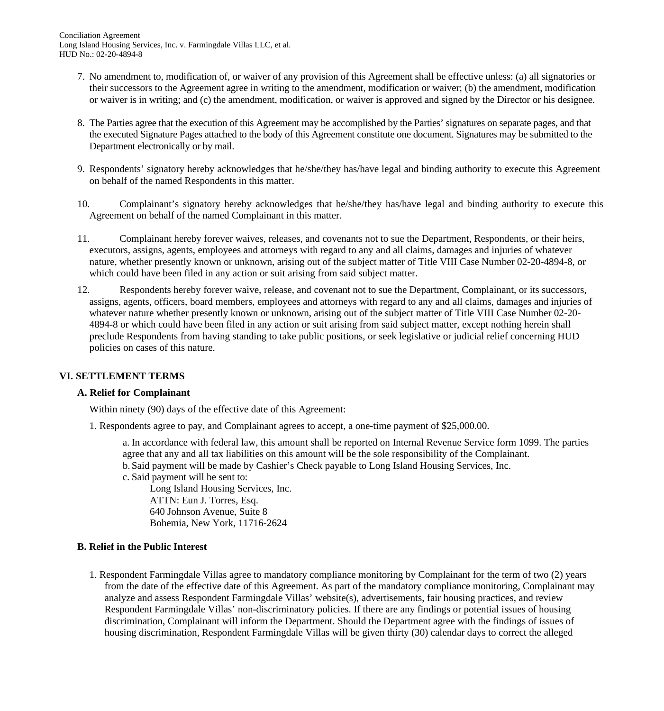- 7. No amendment to, modification of, or waiver of any provision of this Agreement shall be effective unless: (a) all signatories or their successors to the Agreement agree in writing to the amendment, modification or waiver; (b) the amendment, modification or waiver is in writing; and (c) the amendment, modification, or waiver is approved and signed by the Director or his designee.
- 8. The Parties agree that the execution of this Agreement may be accomplished by the Parties' signatures on separate pages, and that the executed Signature Pages attached to the body of this Agreement constitute one document. Signatures may be submitted to the Department electronically or by mail.
- 9. Respondents' signatory hereby acknowledges that he/she/they has/have legal and binding authority to execute this Agreement on behalf of the named Respondents in this matter.
- 10. Complainant's signatory hereby acknowledges that he/she/they has/have legal and binding authority to execute this Agreement on behalf of the named Complainant in this matter.
- 11. Complainant hereby forever waives, releases, and covenants not to sue the Department, Respondents, or their heirs, executors, assigns, agents, employees and attorneys with regard to any and all claims, damages and injuries of whatever nature, whether presently known or unknown, arising out of the subject matter of Title VIII Case Number 02-20-4894-8, or which could have been filed in any action or suit arising from said subject matter.
- 12. Respondents hereby forever waive, release, and covenant not to sue the Department, Complainant, or its successors, assigns, agents, officers, board members, employees and attorneys with regard to any and all claims, damages and injuries of whatever nature whether presently known or unknown, arising out of the subject matter of Title VIII Case Number 02-20- 4894-8 or which could have been filed in any action or suit arising from said subject matter, except nothing herein shall preclude Respondents from having standing to take public positions, or seek legislative or judicial relief concerning HUD policies on cases of this nature.

## **VI. SETTLEMENT TERMS**

## **A. Relief for Complainant**

Within ninety (90) days of the effective date of this Agreement:

1. Respondents agree to pay, and Complainant agrees to accept, a one-time payment of \$25,000.00.

a. In accordance with federal law, this amount shall be reported on Internal Revenue Service form 1099. The parties agree that any and all tax liabilities on this amount will be the sole responsibility of the Complainant.

- b. Said payment will be made by Cashier's Check payable to Long Island Housing Services, Inc.
- c. Said payment will be sent to:

Long Island Housing Services, Inc. ATTN: Eun J. Torres, Esq. 640 Johnson Avenue, Suite 8 Bohemia, New York, 11716-2624

## **B. Relief in the Public Interest**

1. Respondent Farmingdale Villas agree to mandatory compliance monitoring by Complainant for the term of two (2) years from the date of the effective date of this Agreement. As part of the mandatory compliance monitoring, Complainant may analyze and assess Respondent Farmingdale Villas' website(s), advertisements, fair housing practices, and review Respondent Farmingdale Villas' non-discriminatory policies. If there are any findings or potential issues of housing discrimination, Complainant will inform the Department. Should the Department agree with the findings of issues of housing discrimination, Respondent Farmingdale Villas will be given thirty (30) calendar days to correct the alleged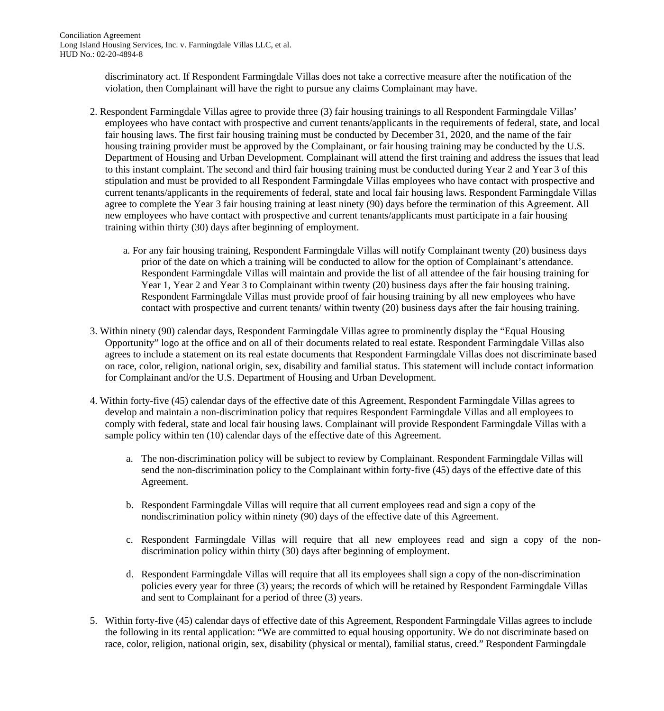discriminatory act. If Respondent Farmingdale Villas does not take a corrective measure after the notification of the violation, then Complainant will have the right to pursue any claims Complainant may have.

- 2. Respondent Farmingdale Villas agree to provide three (3) fair housing trainings to all Respondent Farmingdale Villas' employees who have contact with prospective and current tenants/applicants in the requirements of federal, state, and local fair housing laws. The first fair housing training must be conducted by December 31, 2020, and the name of the fair housing training provider must be approved by the Complainant, or fair housing training may be conducted by the U.S. Department of Housing and Urban Development. Complainant will attend the first training and address the issues that lead to this instant complaint. The second and third fair housing training must be conducted during Year 2 and Year 3 of this stipulation and must be provided to all Respondent Farmingdale Villas employees who have contact with prospective and current tenants/applicants in the requirements of federal, state and local fair housing laws. Respondent Farmingdale Villas agree to complete the Year 3 fair housing training at least ninety (90) days before the termination of this Agreement. All new employees who have contact with prospective and current tenants/applicants must participate in a fair housing training within thirty (30) days after beginning of employment.
	- a. For any fair housing training, Respondent Farmingdale Villas will notify Complainant twenty (20) business days prior of the date on which a training will be conducted to allow for the option of Complainant's attendance. Respondent Farmingdale Villas will maintain and provide the list of all attendee of the fair housing training for Year 1, Year 2 and Year 3 to Complainant within twenty (20) business days after the fair housing training. Respondent Farmingdale Villas must provide proof of fair housing training by all new employees who have contact with prospective and current tenants/ within twenty (20) business days after the fair housing training.
- 3. Within ninety (90) calendar days, Respondent Farmingdale Villas agree to prominently display the "Equal Housing Opportunity" logo at the office and on all of their documents related to real estate. Respondent Farmingdale Villas also agrees to include a statement on its real estate documents that Respondent Farmingdale Villas does not discriminate based on race, color, religion, national origin, sex, disability and familial status. This statement will include contact information for Complainant and/or the U.S. Department of Housing and Urban Development.
- 4. Within forty-five (45) calendar days of the effective date of this Agreement, Respondent Farmingdale Villas agrees to develop and maintain a non-discrimination policy that requires Respondent Farmingdale Villas and all employees to comply with federal, state and local fair housing laws. Complainant will provide Respondent Farmingdale Villas with a sample policy within ten (10) calendar days of the effective date of this Agreement.
	- a. The non-discrimination policy will be subject to review by Complainant. Respondent Farmingdale Villas will send the non-discrimination policy to the Complainant within forty-five (45) days of the effective date of this Agreement.
	- b. Respondent Farmingdale Villas will require that all current employees read and sign a copy of the nondiscrimination policy within ninety (90) days of the effective date of this Agreement.
	- c. Respondent Farmingdale Villas will require that all new employees read and sign a copy of the nondiscrimination policy within thirty (30) days after beginning of employment.
	- d. Respondent Farmingdale Villas will require that all its employees shall sign a copy of the non-discrimination policies every year for three (3) years; the records of which will be retained by Respondent Farmingdale Villas and sent to Complainant for a period of three (3) years.
- 5. Within forty-five (45) calendar days of effective date of this Agreement, Respondent Farmingdale Villas agrees to include the following in its rental application: "We are committed to equal housing opportunity. We do not discriminate based on race, color, religion, national origin, sex, disability (physical or mental), familial status, creed." Respondent Farmingdale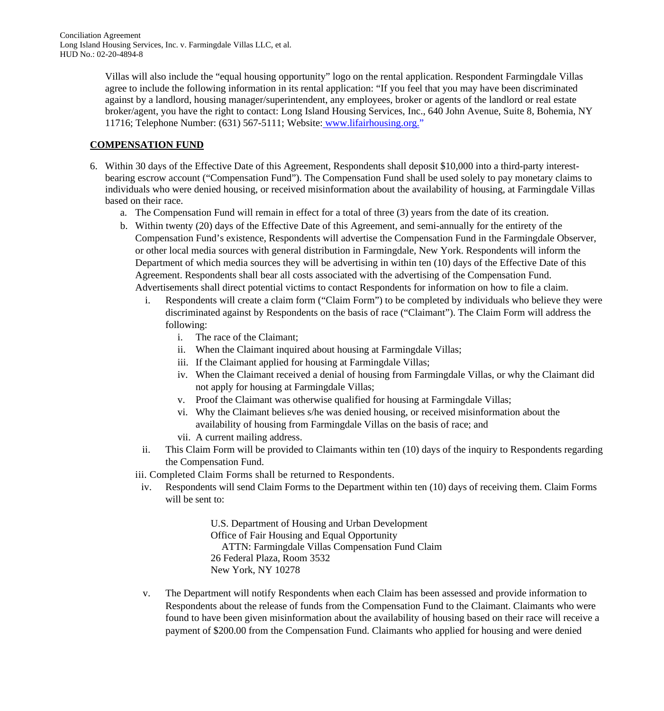Villas will also include the "equal housing opportunity" logo on the rental application. Respondent Farmingdale Villas agree to include the following information in its rental application: "If you feel that you may have been discriminated against by a landlord, housing manager/superintendent, any employees, broker or agents of the landlord or real estate broker/agent, you have the right to contact: Long Island Housing Services, Inc., 640 John Avenue, Suite 8, Bohemia, NY 11716; Telephone Number: (631) 567-5111; Website: www.lifairhousing.org."

# **COMPENSATION FUND**

- 6. Within 30 days of the Effective Date of this Agreement, Respondents shall deposit \$10,000 into a third-party interestbearing escrow account ("Compensation Fund"). The Compensation Fund shall be used solely to pay monetary claims to individuals who were denied housing, or received misinformation about the availability of housing, at Farmingdale Villas based on their race.
	- a. The Compensation Fund will remain in effect for a total of three (3) years from the date of its creation.
	- b. Within twenty (20) days of the Effective Date of this Agreement, and semi-annually for the entirety of the Compensation Fund's existence, Respondents will advertise the Compensation Fund in the Farmingdale Observer, or other local media sources with general distribution in Farmingdale, New York. Respondents will inform the Department of which media sources they will be advertising in within ten (10) days of the Effective Date of this Agreement. Respondents shall bear all costs associated with the advertising of the Compensation Fund. Advertisements shall direct potential victims to contact Respondents for information on how to file a claim.
		- i. Respondents will create a claim form ("Claim Form") to be completed by individuals who believe they were discriminated against by Respondents on the basis of race ("Claimant"). The Claim Form will address the following:
			- i. The race of the Claimant;
			- ii. When the Claimant inquired about housing at Farmingdale Villas;
			- iii. If the Claimant applied for housing at Farmingdale Villas;
			- iv. When the Claimant received a denial of housing from Farmingdale Villas, or why the Claimant did not apply for housing at Farmingdale Villas;
			- v. Proof the Claimant was otherwise qualified for housing at Farmingdale Villas;
			- vi. Why the Claimant believes s/he was denied housing, or received misinformation about the availability of housing from Farmingdale Villas on the basis of race; and
			- vii. A current mailing address.
		- ii. This Claim Form will be provided to Claimants within ten (10) days of the inquiry to Respondents regarding the Compensation Fund.

iii. Completed Claim Forms shall be returned to Respondents.

iv. Respondents will send Claim Forms to the Department within ten (10) days of receiving them. Claim Forms will be sent to:

> U.S. Department of Housing and Urban Development Office of Fair Housing and Equal Opportunity ATTN: Farmingdale Villas Compensation Fund Claim 26 Federal Plaza, Room 3532 New York, NY 10278

 v. The Department will notify Respondents when each Claim has been assessed and provide information to Respondents about the release of funds from the Compensation Fund to the Claimant. Claimants who were found to have been given misinformation about the availability of housing based on their race will receive a payment of \$200.00 from the Compensation Fund. Claimants who applied for housing and were denied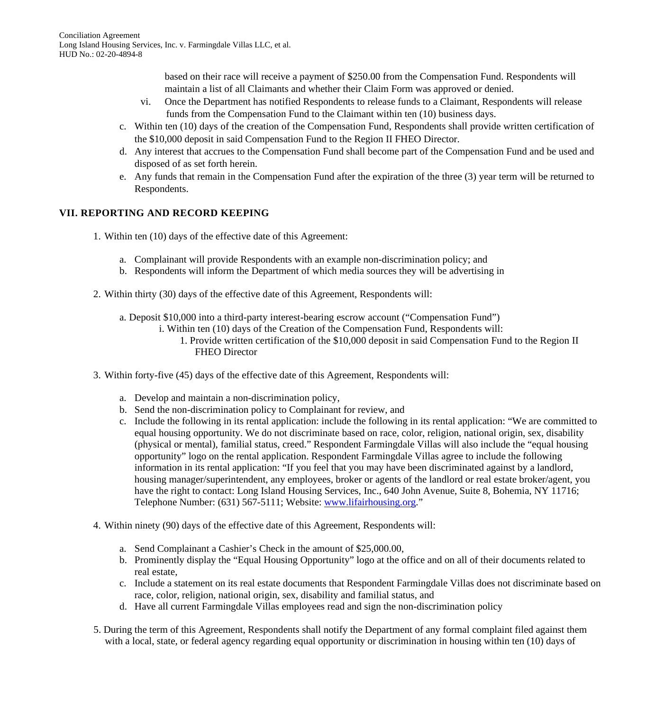based on their race will receive a payment of \$250.00 from the Compensation Fund. Respondents will maintain a list of all Claimants and whether their Claim Form was approved or denied.

- vi. Once the Department has notified Respondents to release funds to a Claimant, Respondents will release funds from the Compensation Fund to the Claimant within ten (10) business days.
- c. Within ten (10) days of the creation of the Compensation Fund, Respondents shall provide written certification of the \$10,000 deposit in said Compensation Fund to the Region II FHEO Director.
- d. Any interest that accrues to the Compensation Fund shall become part of the Compensation Fund and be used and disposed of as set forth herein.
- e. Any funds that remain in the Compensation Fund after the expiration of the three (3) year term will be returned to Respondents.

# **VII. REPORTING AND RECORD KEEPING**

- 1. Within ten (10) days of the effective date of this Agreement:
	- a. Complainant will provide Respondents with an example non-discrimination policy; and
	- b. Respondents will inform the Department of which media sources they will be advertising in
- 2. Within thirty (30) days of the effective date of this Agreement, Respondents will:
	- a. Deposit \$10,000 into a third-party interest-bearing escrow account ("Compensation Fund")
		- i. Within ten (10) days of the Creation of the Compensation Fund, Respondents will:
			- 1. Provide written certification of the \$10,000 deposit in said Compensation Fund to the Region II FHEO Director
- 3. Within forty-five (45) days of the effective date of this Agreement, Respondents will:
	- a. Develop and maintain a non-discrimination policy,
	- b. Send the non-discrimination policy to Complainant for review, and
	- c. Include the following in its rental application: include the following in its rental application: "We are committed to equal housing opportunity. We do not discriminate based on race, color, religion, national origin, sex, disability (physical or mental), familial status, creed." Respondent Farmingdale Villas will also include the "equal housing opportunity" logo on the rental application. Respondent Farmingdale Villas agree to include the following information in its rental application: "If you feel that you may have been discriminated against by a landlord, housing manager/superintendent, any employees, broker or agents of the landlord or real estate broker/agent, you have the right to contact: Long Island Housing Services, Inc., 640 John Avenue, Suite 8, Bohemia, NY 11716; Telephone Number: (631) 567-5111; Website: www.lifairhousing.org."
- 4. Within ninety (90) days of the effective date of this Agreement, Respondents will:
	- a. Send Complainant a Cashier's Check in the amount of \$25,000.00,
	- b. Prominently display the "Equal Housing Opportunity" logo at the office and on all of their documents related to real estate,
	- c. Include a statement on its real estate documents that Respondent Farmingdale Villas does not discriminate based on race, color, religion, national origin, sex, disability and familial status, and
	- d. Have all current Farmingdale Villas employees read and sign the non-discrimination policy
- 5. During the term of this Agreement, Respondents shall notify the Department of any formal complaint filed against them with a local, state, or federal agency regarding equal opportunity or discrimination in housing within ten (10) days of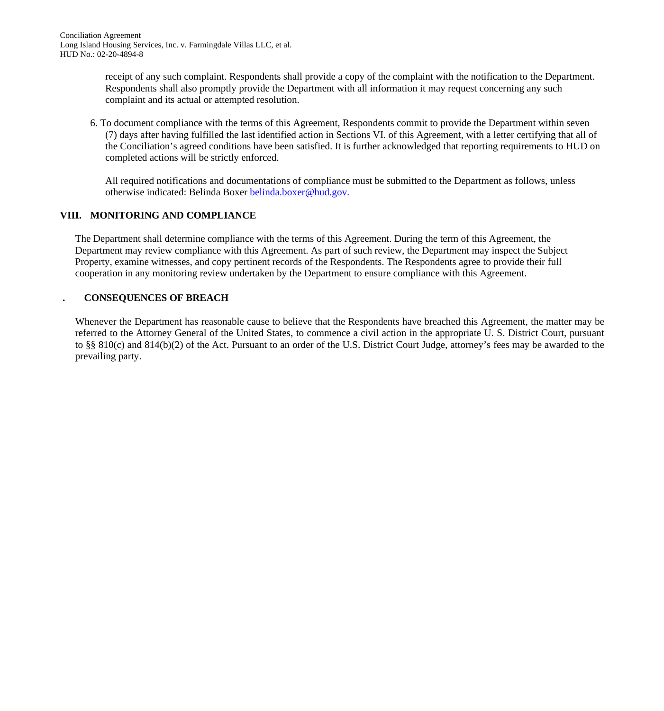receipt of any such complaint. Respondents shall provide a copy of the complaint with the notification to the Department. Respondents shall also promptly provide the Department with all information it may request concerning any such complaint and its actual or attempted resolution.

6. To document compliance with the terms of this Agreement, Respondents commit to provide the Department within seven (7) days after having fulfilled the last identified action in Sections VI. of this Agreement, with a letter certifying that all of the Conciliation's agreed conditions have been satisfied. It is further acknowledged that reporting requirements to HUD on completed actions will be strictly enforced.

All required notifications and documentations of compliance must be submitted to the Department as follows, unless otherwise indicated: Belinda Boxer belinda.boxer@hud.gov.

# **VIII. MONITORING AND COMPLIANCE**

The Department shall determine compliance with the terms of this Agreement. During the term of this Agreement, the Department may review compliance with this Agreement. As part of such review, the Department may inspect the Subject Property, examine witnesses, and copy pertinent records of the Respondents. The Respondents agree to provide their full cooperation in any monitoring review undertaken by the Department to ensure compliance with this Agreement.

# **. CONSEQUENCES OF BREACH**

Whenever the Department has reasonable cause to believe that the Respondents have breached this Agreement, the matter may be referred to the Attorney General of the United States, to commence a civil action in the appropriate U. S. District Court, pursuant to §§ 810(c) and 814(b)(2) of the Act. Pursuant to an order of the U.S. District Court Judge, attorney's fees may be awarded to the prevailing party.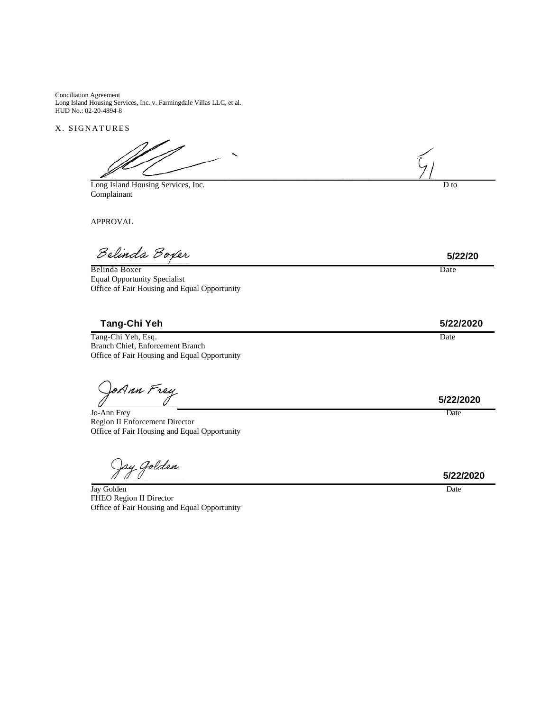Conciliation Agreement Long Island Housing Services, Inc. v. Farmingdale Villas LLC, et al. HUD No.: 02-20-4894-8

X. SIGNATURES

Long Island Housing Services, Inc. D to Complainant

APPROVAL

Belinda Boxer

<u>Belinda Boxer</u> Date Equal Opportunity Specialist Office of Fair Housing and Equal Opportunity

**Tang-Chi Yeh 5/22/2020** 

Tang-Chi Yeh, Esq. Date Branch Chief, Enforcement Branch Office of Fair Housing and Equal Opportunity

JoAnn Frey

Jo-Ann Frey Date **Date and Containing the Containing Containing Containing Containing Containing Containing Containing Containing Containing Containing Containing Containing Containing Containing Containing Containing Cont** Region II Enforcement Director Office of Fair Housing and Equal Opportunity

Jay Jolden

**Jay Golden** Date **Date** Date **Date** Date **Date** Date **Date** Date **Date Date Date** FHEO Region II Director Office of Fair Housing and Equal Opportunity

**5/22/20** 

**5/22/2020** 

**5/22/2020**